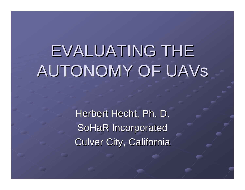# EVALUATING THE AUTONOMY OF UAVS

Herbert Hecht, Ph. D. SoHaR Incorporated **Culver City, California**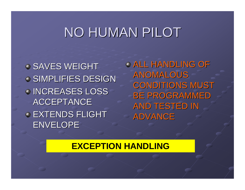## NO HUMAN PILOT

SAVES WEIGHT SIMPLIFIES DESIGN **INCREASES LOSS** ACCEPTANCE **EXTENDS FLIGHT** ENVELOPE

**O ALL HANDLING OF** ANOMALOUS **CONDITIONS MUST BE PROGRAMMED** AND TESTED IN ADVANCE

#### **EXCEPTION HANDLING**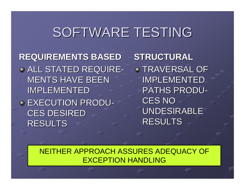### SOFTWARE TESTING

**REQUIREMENTS BASED REQUIREMENTS BASED** ALL STATED REQUIRE -**MENTS HAVE BEEN** IMPLEMENTED EXECUTION PRODU - **CES DESIRED** RESULTS

**STRUCTURAL STRUCTURALTRAVERSAL OF IMPLEMENTED** PATHS PRODU - CES NO UNDESIRABLE RESULTS

NEITHER APPROACH ASSURES ADEQUACY OF EXCEPTION HANDLING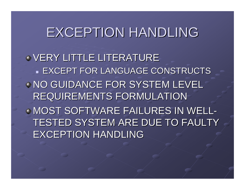### EXCEPTION HANDLING

VERY LITTLE LITERATURE  $\blacksquare$  EXCEPT FOR LANGUAGE CONSTRUCTS **NO GUIDANCE FOR SYSTEM LEVEL** REQUIREMENTS FORMULATION MOST SOFTWARE FAILURES IN WELL TESTED SYSTEM ARE DUE TO FAULTY EXCEPTION HANDLING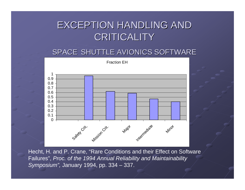### **EXCEPTION HANDLING AND** CRITICALITY

#### SPACE SHUTTLE AVIONICS SOFTWARE



Hecht, H. and P. Crane, "Rare Conditions and their Effect on Software Failures", *Proc. of the 1994 Annual Reliability and Maintainability Symposium",* January 1994, pp. 334 – 337.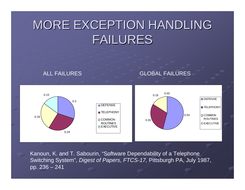### MORE EXCEPTION HANDLING **FAILURES**



Kanoun, K. and T. Sabourin, "Software Dependability of a Telephone Switching System", *Digest of Papers, FTCS-17,* Pittsburgh PA, July 1987, pp. 236 – 241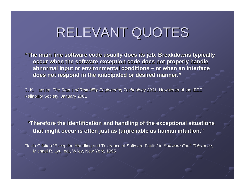# RELEVANT QUOTES

"The main line software code usually does its job. Breakdowns typically occur when the software exception code does not properly handle abnormal input or environmental conditions – or when an interface does not respond in the anticipated or desired manner."

C. K. Hansen, *The Status of Reliability Engineering Technology 2001*, Newsletter of the IEEE Reliability Society, January 2001 Reliability Society, January 2001

"Therefore the identification and handling of the exceptional situations **that might occur is often just as ( that might occur is often just as (un)reliable un)reliable as human intuition. as human intuition. "**

Flaviu Cristian "Exception Handling and Tolerance of Software Faults" in *Software Fault Tolerance,* Michael R. Lyu, ed., Wiley, New York, 1995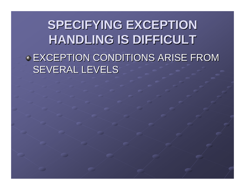**SPECIFYING EXCEPTION HANDLING IS DIFFICULT HANDLING IS DIFFICULT EXCEPTION CONDITIONS ARISE FROM** SEVERAL LEVELS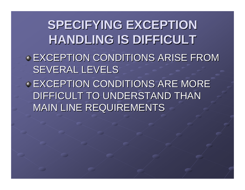**SPECIFYING EXCEPTION HANDLING IS DIFFICULT HANDLING IS DIFFICULT EXCEPTION CONDITIONS ARISE FROM** SEVERAL LEVELS **EXCEPTION CONDITIONS ARE MORE** DIFFICULT TO UNDERSTAND THAN **MAIN LINE REQUIREMENTS**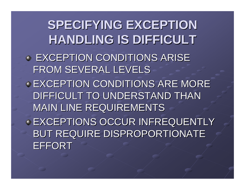**SPECIFYING EXCEPTION HANDLING IS DIFFICULT HANDLING IS DIFFICULT EXCEPTION CONDITIONS ARISE** FROM SEVERAL LEVELS **EXCEPTION CONDITIONS ARE MORE** DIFFICULT TO UNDERSTAND THAN **MAIN LINE REQUIREMENTS EXCEPTIONS OCCUR INFREQUENTLY** BUT REQUIRE DISPROPORTIONATE EFFORT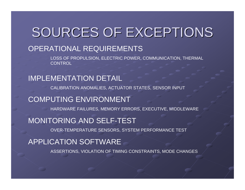### SOURCES OF EXCEPTIONS

#### OPERATIONAL REQUIREMENTS

LOSS OF PROPULSION, ELECTRIC POWER, COMMUNICATION, THERMAL **CONTROL** 

#### IMPLEMENTATION DETAIL

CALIBRATION ANOMALIES, ACTUATOR STATES, SENSOR INPUT

#### COMPUTING ENVIRONMENT

HARDWARE FAILURES, MEMORY ERRORS, EXECUTIVE, MIDDLEWARE

#### MONITORING AND SELF-TEST

OVER-TEMPERATURE SENSORS, SYSTEM PERFORMANCE TEST

#### APPLICATION SOFTWARE

ASSERTIONS, VIOLATION OF TIMING CONSTRAINTS, MODE CHANGES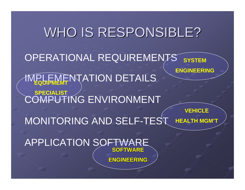### WHO IS RESPONSIBLE? OPERATIONAL REQUIREMENTS **IMPLEMENTATION DETAILS** COMPUTING ENVIRONMENT MONITORING AND SELF-TEST **SYSTEM ENGINEERING SPECIALIST VEHICLEHEALTH MGM'T**

APPLICATION SOFTWAF **SOFTWARE SOFTWARE**

**ENGINEERING ENGINEERING**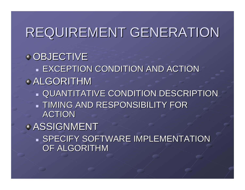## REQUIREMENT GENERATION

**OBJECTIVE**  $\blacksquare$  EXCEPTION CONDITION AND ACTION ALGORITHM QUANTITATIVE CONDITION DESCRIPTION QUANTITATIVE CONDITION DESCRIPTION  $\blacksquare$  TIMING AND RESPONSIBILITY FOR ACTIONASSIGNMENT  $\blacksquare$  SPECIFY SOFTWARE IMPLEMENTATION  $\triangleright$ OF ALGORITHM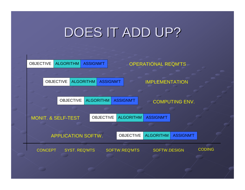# DOES IT ADD UP?

| <b>OBJECTIVE</b>              |                           | <b>ALGORITHM</b>     |                  | <b>ASSIGNM'T</b>                     |                      | <b>OPERATIONAL REQM'TS</b> |                  |               |
|-------------------------------|---------------------------|----------------------|------------------|--------------------------------------|----------------------|----------------------------|------------------|---------------|
|                               |                           |                      |                  |                                      |                      |                            |                  |               |
|                               | <b>OBJECTIVE</b>          |                      | <b>ALGORITHM</b> | <b>ASSIGNM'T</b>                     |                      | <b>IMPLEMENTATION</b>      |                  |               |
|                               |                           |                      |                  |                                      |                      |                            |                  |               |
|                               | <b>OBJECTIVE</b>          |                      |                  | <b>ALGORITHM</b><br><b>ASSIGNM'T</b> |                      | <b>COMPUTING ENV.</b>      |                  |               |
|                               |                           |                      |                  |                                      |                      |                            |                  |               |
| <b>MONIT. &amp; SELF-TEST</b> |                           |                      |                  | <b>OBJECTIVE</b>                     | <b>ALGORITHM</b>     | <b>ASSIGNM'T</b>           |                  |               |
|                               |                           |                      |                  |                                      |                      |                            |                  |               |
|                               | <b>APPLICATION SOFTW.</b> |                      |                  |                                      | <b>OBJECTIVE</b>     | <b>ALGORITHM</b>           | <b>ASSIGNM'T</b> |               |
| <b>CONCEPT</b>                |                           | <b>SYST. REQ'MTS</b> |                  |                                      | <b>SOFTW.REQ'MTS</b> | <b>SOFTW.DESIGN</b>        |                  | <b>CODING</b> |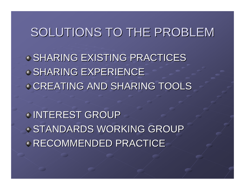### SOLUTIONS TO THE PROBLEM

SHARING EXISTING PRACTICES SHARING EXPERIENCE CREATING AND SHARING TOOLS

INTEREST GROUP STANDARDS WORKING GROUP RECOMMENDED PRACTICE